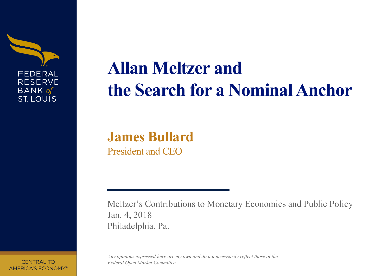

# **Allan Meltzer and the Search for a Nominal Anchor**

## **James Bullard** President and CEO

Meltzer's Contributions to Monetary Economics and Public Policy Jan. 4, 2018 Philadelphia, Pa.

*Any opinions expressed here are my own and do not necessarily reflect those of the Federal Open Market Committee.*

**CENTRAL TO** AMERICA'S ECONOMY®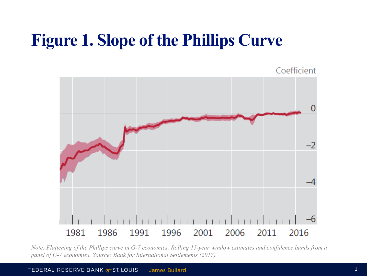## **Figure 1. Slope of the Phillips Curve**

Coefficient 

*Note: Flattening of the Phillips curve in G-7 economies. Rolling 15-year window estimates and confidence bands from a panel of G-7 economies. Source: Bank for International Settlements (2017).*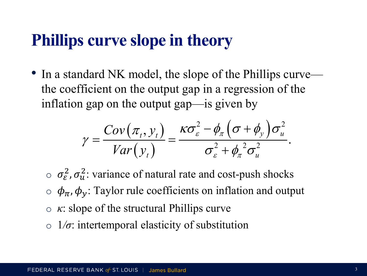## **Phillips curve slope in theory**

• In a standard NK model, the slope of the Phillips curve the coefficient on the output gap in a regression of the inflation gap on the output gap—is given by

$$
\gamma = \frac{Cov(\pi_t, y_t)}{Var(y_t)} = \frac{\kappa \sigma_{\varepsilon}^2 - \phi_{\pi} \left( \sigma + \phi_{y} \right) \sigma_{u}^2}{\sigma_{\varepsilon}^2 + {\phi_{\pi}}^2 \sigma_{u}^2}.
$$

- $\sigma_{\epsilon}^2$ ,  $\sigma_{u}^2$ : variance of natural rate and cost-push shocks  $\phi_{\pi}$ ,  $\phi_{\nu}$ : Taylor rule coefficients on inflation and output o *κ*: slope of the structural Phillips curve
- o 1*/σ*: intertemporal elasticity of substitution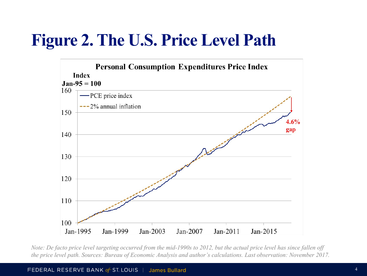## **Figure 2. The U.S. Price Level Path**



*Note: De facto price level targeting occurred from the mid-1990s to 2012, but the actual price level has since fallen off the price level path. Sources: Bureau of Economic Analysis and author's calculations. Last observation: November 2017.*

FEDERAL RESERVE BANK of ST. LOUIS | James Bullard